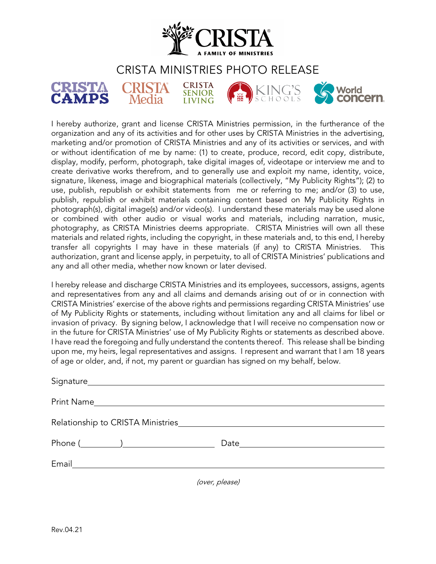

## CRISTA MINISTRIES PHOTO RELEASE



I hereby authorize, grant and license CRISTA Ministries permission, in the furtherance of the organization and any of its activities and for other uses by CRISTA Ministries in the advertising, marketing and/or promotion of CRISTA Ministries and any of its activities or services, and with or without identification of me by name: (1) to create, produce, record, edit copy, distribute, display, modify, perform, photograph, take digital images of, videotape or interview me and to create derivative works therefrom, and to generally use and exploit my name, identity, voice, signature, likeness, image and biographical materials (collectively, "My Publicity Rights"); (2) to use, publish, republish or exhibit statements from me or referring to me; and/or (3) to use, publish, republish or exhibit materials containing content based on My Publicity Rights in photograph(s), digital image(s) and/or video(s). I understand these materials may be used alone or combined with other audio or visual works and materials, including narration, music, photography, as CRISTA Ministries deems appropriate. CRISTA Ministries will own all these materials and related rights, including the copyright, in these materials and, to this end, I hereby transfer all copyrights I may have in these materials (if any) to CRISTA Ministries. This authorization, grant and license apply, in perpetuity, to all of CRISTA Ministries' publications and any and all other media, whether now known or later devised.

I hereby release and discharge CRISTA Ministries and its employees, successors, assigns, agents and representatives from any and all claims and demands arising out of or in connection with CRISTA Ministries' exercise of the above rights and permissions regarding CRISTA Ministries' use of My Publicity Rights or statements, including without limitation any and all claims for libel or invasion of privacy. By signing below, I acknowledge that I will receive no compensation now or in the future for CRISTA Ministries' use of My Publicity Rights or statements as described above. I have read the foregoing and fully understand the contents thereof. This release shall be binding upon me, my heirs, legal representatives and assigns. I represent and warrant that I am 18 years of age or older, and, if not, my parent or guardian has signed on my behalf, below.

| $\prime$ $\prime$ $\prime$ $\prime$ |
|-------------------------------------|

(over, please)